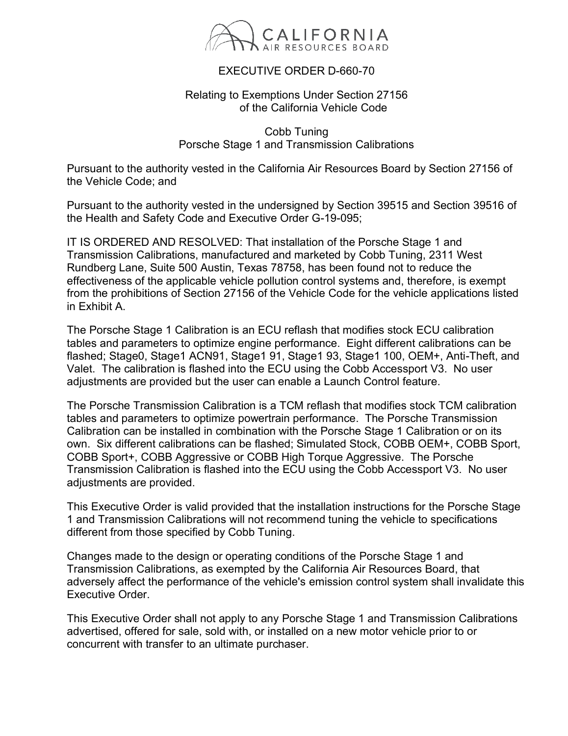

## EXECUTIVE ORDER D-660-70

## Relating to Exemptions Under Section 27156 of the California Vehicle Code

Cobb Tuning Porsche Stage 1 and Transmission Calibrations

Pursuant to the authority vested in the California Air Resources Board by Section 27156 of the Vehicle Code; and

Pursuant to the authority vested in the undersigned by Section 39515 and Section 39516 of the Health and Safety Code and Executive Order G-19-095;

IT IS ORDERED AND RESOLVED: That installation of the Porsche Stage 1 and Transmission Calibrations, manufactured and marketed by Cobb Tuning, 2311 West Rundberg Lane, Suite 500 Austin, Texas 78758, has been found not to reduce the effectiveness of the applicable vehicle pollution control systems and, therefore, is exempt from the prohibitions of Section 27156 of the Vehicle Code for the vehicle applications listed in Exhibit A.

The Porsche Stage 1 Calibration is an ECU reflash that modifies stock ECU calibration tables and parameters to optimize engine performance. Eight different calibrations can be flashed; Stage0, Stage1 ACN91, Stage1 91, Stage1 93, Stage1 100, OEM+, Anti-Theft, and Valet. The calibration is flashed into the ECU using the Cobb Accessport V3. No user adjustments are provided but the user can enable a Launch Control feature.

The Porsche Transmission Calibration is a TCM reflash that modifies stock TCM calibration tables and parameters to optimize powertrain performance. The Porsche Transmission Calibration can be installed in combination with the Porsche Stage 1 Calibration or on its own. Six different calibrations can be flashed; Simulated Stock, COBB OEM+, COBB Sport, COBB Sport+, COBB Aggressive or COBB High Torque Aggressive. The Porsche Transmission Calibration is flashed into the ECU using the Cobb Accessport V3. No user adjustments are provided.

This Executive Order is valid provided that the installation instructions for the Porsche Stage 1 and Transmission Calibrations will not recommend tuning the vehicle to specifications different from those specified by Cobb Tuning.

Changes made to the design or operating conditions of the Porsche Stage 1 and Transmission Calibrations, as exempted by the California Air Resources Board, that adversely affect the performance of the vehicle's emission control system shall invalidate this Executive Order.

This Executive Order shall not apply to any Porsche Stage 1 and Transmission Calibrations advertised, offered for sale, sold with, or installed on a new motor vehicle prior to or concurrent with transfer to an ultimate purchaser.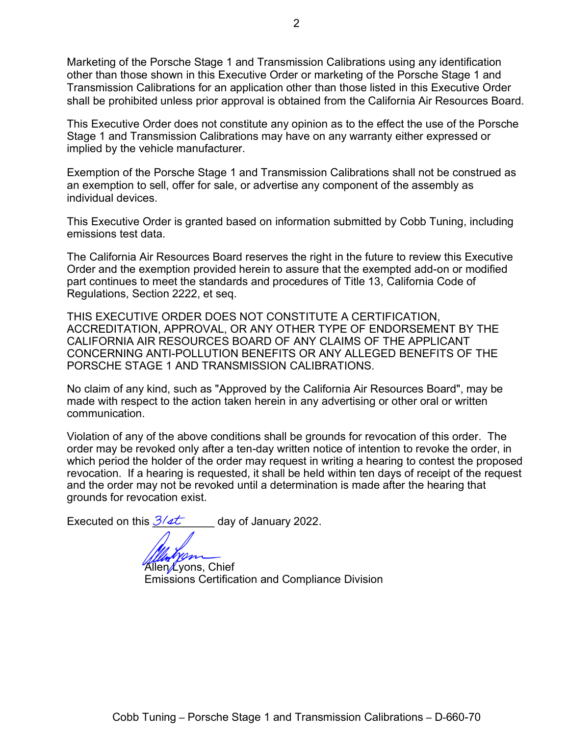Marketing of the Porsche Stage 1 and Transmission Calibrations using any identification other than those shown in this Executive Order or marketing of the Porsche Stage 1 and Transmission Calibrations for an application other than those listed in this Executive Order shall be prohibited unless prior approval is obtained from the California Air Resources Board.

This Executive Order does not constitute any opinion as to the effect the use of the Porsche Stage 1 and Transmission Calibrations may have on any warranty either expressed or implied by the vehicle manufacturer.

Exemption of the Porsche Stage 1 and Transmission Calibrations shall not be construed as an exemption to sell, offer for sale, or advertise any component of the assembly as individual devices.

This Executive Order is granted based on information submitted by Cobb Tuning, including emissions test data.

The California Air Resources Board reserves the right in the future to review this Executive Order and the exemption provided herein to assure that the exempted add-on or modified part continues to meet the standards and procedures of Title 13, California Code of Regulations, Section 2222, et seq.

THIS EXECUTIVE ORDER DOES NOT CONSTITUTE A CERTIFICATION, ACCREDITATION, APPROVAL, OR ANY OTHER TYPE OF ENDORSEMENT BY THE CALIFORNIA AIR RESOURCES BOARD OF ANY CLAIMS OF THE APPLICANT CONCERNING ANTI-POLLUTION BENEFITS OR ANY ALLEGED BENEFITS OF THE PORSCHE STAGE 1 AND TRANSMISSION CALIBRATIONS.

No claim of any kind, such as "Approved by the California Air Resources Board", may be made with respect to the action taken herein in any advertising or other oral or written communication.

Violation of any of the above conditions shall be grounds for revocation of this order. The order may be revoked only after a ten-day written notice of intention to revoke the order, in which period the holder of the order may request in writing a hearing to contest the proposed revocation. If a hearing is requested, it shall be held within ten days of receipt of the request and the order may not be revoked until a determination is made after the hearing that grounds for revocation exist.

Executed on this  $\frac{3}{4}$  day of January 2022.

Allen Lyons, Chief Emissions Certification and Compliance Division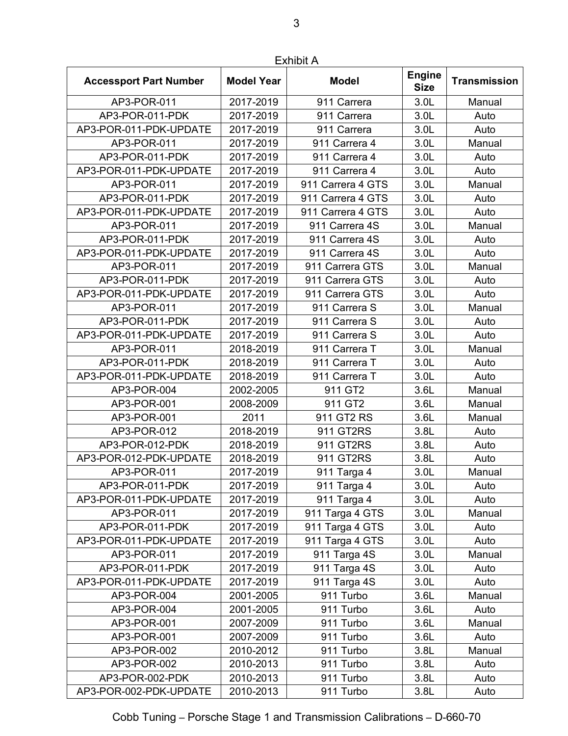| <b>Accessport Part Number</b> | <b>Model Year</b> | <b>Model</b>      | <b>Engine</b><br><b>Size</b> | <b>Transmission</b> |
|-------------------------------|-------------------|-------------------|------------------------------|---------------------|
| AP3-POR-011                   | 2017-2019         | 911 Carrera       | 3.0 <sub>L</sub>             | Manual              |
| AP3-POR-011-PDK               | 2017-2019         | 911 Carrera       | 3.0L                         | Auto                |
| AP3-POR-011-PDK-UPDATE        | 2017-2019         | 911 Carrera       | 3.0 <sub>L</sub>             | Auto                |
| AP3-POR-011                   | 2017-2019         | 911 Carrera 4     | 3.0L                         | Manual              |
| AP3-POR-011-PDK               | 2017-2019         | 911 Carrera 4     | 3.0L                         | Auto                |
| AP3-POR-011-PDK-UPDATE        | 2017-2019         | 911 Carrera 4     | 3.0 <sub>L</sub>             | Auto                |
| AP3-POR-011                   | 2017-2019         | 911 Carrera 4 GTS | 3.0L                         | Manual              |
| AP3-POR-011-PDK               | 2017-2019         | 911 Carrera 4 GTS | 3.0 <sub>L</sub>             | Auto                |
| AP3-POR-011-PDK-UPDATE        | 2017-2019         | 911 Carrera 4 GTS | 3.0 <sub>L</sub>             | Auto                |
| AP3-POR-011                   | 2017-2019         | 911 Carrera 4S    | 3.0 <sub>L</sub>             | Manual              |
| AP3-POR-011-PDK               | 2017-2019         | 911 Carrera 4S    | 3.0 <sub>L</sub>             | Auto                |
| AP3-POR-011-PDK-UPDATE        | 2017-2019         | 911 Carrera 4S    | 3.0L                         | Auto                |
| AP3-POR-011                   | 2017-2019         | 911 Carrera GTS   | 3.0 <sub>L</sub>             | Manual              |
| AP3-POR-011-PDK               | 2017-2019         | 911 Carrera GTS   | 3.0L                         | Auto                |
| AP3-POR-011-PDK-UPDATE        | 2017-2019         | 911 Carrera GTS   | 3.0 <sub>L</sub>             | Auto                |
| AP3-POR-011                   | 2017-2019         | 911 Carrera S     | 3.0L                         | Manual              |
| AP3-POR-011-PDK               | 2017-2019         | 911 Carrera S     | 3.0 <sub>L</sub>             | Auto                |
| AP3-POR-011-PDK-UPDATE        | 2017-2019         | 911 Carrera S     | 3.0L                         | Auto                |
| AP3-POR-011                   | 2018-2019         | 911 Carrera T     | 3.0 <sub>L</sub>             | Manual              |
| AP3-POR-011-PDK               | 2018-2019         | 911 Carrera T     | 3.0L                         | Auto                |
| AP3-POR-011-PDK-UPDATE        | 2018-2019         | 911 Carrera T     | 3.0 <sub>L</sub>             | Auto                |
| AP3-POR-004                   | 2002-2005         | 911 GT2           | 3.6L                         | Manual              |
| AP3-POR-001                   | 2008-2009         | 911 GT2           | 3.6L                         | Manual              |
| AP3-POR-001                   | 2011              | 911 GT2 RS        | 3.6L                         | Manual              |
| AP3-POR-012                   | 2018-2019         | 911 GT2RS         | 3.8L                         | Auto                |
| AP3-POR-012-PDK               | 2018-2019         | 911 GT2RS         | 3.8L                         | Auto                |
| AP3-POR-012-PDK-UPDATE        | 2018-2019         | 911 GT2RS         | 3.8L                         | Auto                |
| AP3-POR-011                   | 2017-2019         | 911 Targa 4       | 3.0L                         | Manual              |
| AP3-POR-011-PDK               | 2017-2019         | 911 Targa 4       | 3.0 <sub>L</sub>             | Auto                |
| AP3-POR-011-PDK-UPDATE        | 2017-2019         | 911 Targa 4       | 3.0 <sub>L</sub>             | Auto                |
| AP3-POR-011                   | 2017-2019         | 911 Targa 4 GTS   | 3.0 <sub>L</sub>             | Manual              |
| AP3-POR-011-PDK               | 2017-2019         | 911 Targa 4 GTS   | 3.0 <sub>L</sub>             | Auto                |
| AP3-POR-011-PDK-UPDATE        | 2017-2019         | 911 Targa 4 GTS   | 3.0 <sub>L</sub>             | Auto                |
| AP3-POR-011                   | 2017-2019         | 911 Targa 4S      | 3.0 <sub>L</sub>             | Manual              |
| AP3-POR-011-PDK               | 2017-2019         | 911 Targa 4S      | 3.0 <sub>L</sub>             | Auto                |
| AP3-POR-011-PDK-UPDATE        | 2017-2019         | 911 Targa 4S      | 3.0 <sub>L</sub>             | Auto                |
| AP3-POR-004                   | 2001-2005         | 911 Turbo         | 3.6L                         | Manual              |
| AP3-POR-004                   | 2001-2005         | 911 Turbo         | 3.6L                         | Auto                |
| AP3-POR-001                   | 2007-2009         | 911 Turbo         | 3.6L                         | Manual              |
| AP3-POR-001                   | 2007-2009         | 911 Turbo         | 3.6L                         | Auto                |
| AP3-POR-002                   | 2010-2012         | 911 Turbo         | 3.8L                         | Manual              |
| AP3-POR-002                   | 2010-2013         | 911 Turbo         | 3.8L                         | Auto                |
| AP3-POR-002-PDK               | 2010-2013         | 911 Turbo         | 3.8L                         | Auto                |
| AP3-POR-002-PDK-UPDATE        | 2010-2013         | 911 Turbo         | 3.8L                         | Auto                |

Exhibit A